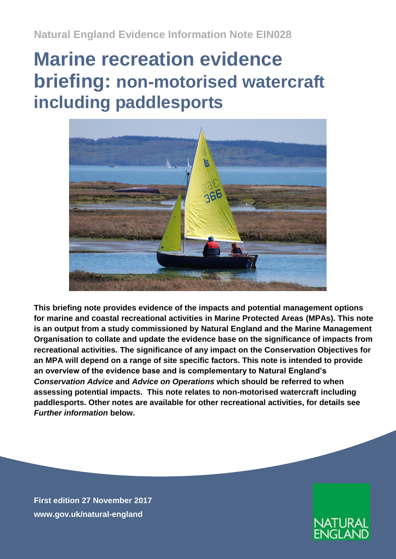**Natural England Evidence Information Note EIN028**

# **Marine recreation evidence briefing: non-motorised watercraft including paddlesports**



**This briefing note provides evidence of the impacts and potential management options for marine and coastal recreational activities in Marine Protected Areas (MPAs). This note is an output from a study commissioned by Natural England and the Marine Management Organisation to collate and update the evidence base on the significance of impacts from recreational activities***.* **The significance of any impact on the Conservation Objectives for an MPA will depend on a range of site specific factors. This note is intended to provide an overview of the evidence base and is complementary to Natural England's**  *Conservation Advice* **and** *Advice on Operations* **which should be referred to when assessing potential impacts. This note relates to non-motorised watercraft including paddlesports. Other notes are available for other recreational activities, for details see**  *Further information* **below.**

**First edition 27 November 2017 [www.gov.uk/natural-england](http://www.gov.uk/natural-england)**

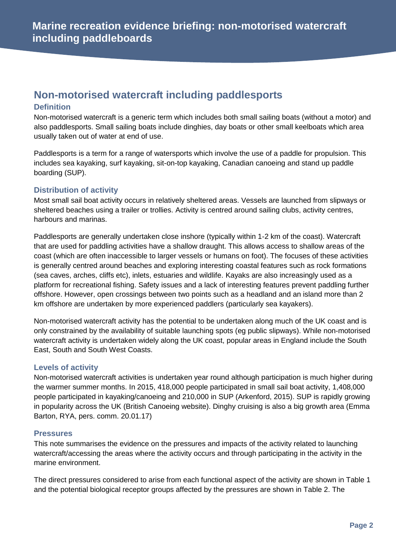# **Non-motorised watercraft including paddlesports**

#### **Definition**

Non-motorised watercraft is a generic term which includes both small sailing boats (without a motor) and also paddlesports. Small sailing boats include dinghies, day boats or other small keelboats which area usually taken out of water at end of use.

Paddlesports is a term for a range of watersports which involve the use of a paddle for propulsion. This includes sea kayaking, surf kayaking, sit-on-top kayaking, Canadian canoeing and stand up paddle boarding (SUP).

#### **Distribution of activity**

Most small sail boat activity occurs in relatively sheltered areas. Vessels are launched from slipways or sheltered beaches using a trailer or trollies. Activity is centred around sailing clubs, activity centres, harbours and marinas.

Paddlesports are generally undertaken close inshore (typically within 1-2 km of the coast). Watercraft that are used for paddling activities have a shallow draught. This allows access to shallow areas of the coast (which are often inaccessible to larger vessels or humans on foot). The focuses of these activities is generally centred around beaches and exploring interesting coastal features such as rock formations (sea caves, arches, cliffs etc), inlets, estuaries and wildlife. Kayaks are also increasingly used as a platform for recreational fishing. Safety issues and a lack of interesting features prevent paddling further offshore. However, open crossings between two points such as a headland and an island more than 2 km offshore are undertaken by more experienced paddlers (particularly sea kayakers).

Non-motorised watercraft activity has the potential to be undertaken along much of the UK coast and is only constrained by the availability of suitable launching spots (eg public slipways). While non-motorised watercraft activity is undertaken widely along the UK coast, popular areas in England include the South East, South and South West Coasts.

#### **Levels of activity**

Non-motorised watercraft activities is undertaken year round although participation is much higher during the warmer summer months. In 2015, 418,000 people participated in small sail boat activity, 1,408,000 people participated in kayaking/canoeing and 210,000 in SUP (Arkenford, 2015). SUP is rapidly growing in popularity across the UK (British Canoeing website). Dinghy cruising is also a big growth area (Emma Barton, RYA, pers. comm. 20.01.17)

#### **Pressures**

This note summarises the evidence on the pressures and impacts of the activity related to launching watercraft/accessing the areas where the activity occurs and through participating in the activity in the marine environment.

The direct pressures considered to arise from each functional aspect of the activity are shown in Table 1 and the potential biological receptor groups affected by the pressures are shown in Table 2. The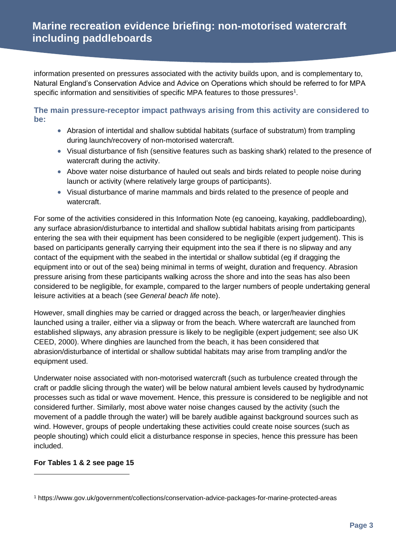information presented on pressures associated with the activity builds upon, and is complementary to, Natural England's Conservation Advice and Advice on Operations which should be referred to for MPA specific information and sensitivities of specific MPA features to those pressures $1$ .

**The main pressure-receptor impact pathways arising from this activity are considered to be:**

- Abrasion of intertidal and shallow subtidal habitats (surface of substratum) from trampling during launch/recovery of non-motorised watercraft.
- Visual disturbance of fish (sensitive features such as basking shark) related to the presence of watercraft during the activity.
- Above water noise disturbance of hauled out seals and birds related to people noise during launch or activity (where relatively large groups of participants).
- Visual disturbance of marine mammals and birds related to the presence of people and watercraft.

For some of the activities considered in this Information Note (eg canoeing, kayaking, paddleboarding), any surface abrasion/disturbance to intertidal and shallow subtidal habitats arising from participants entering the sea with their equipment has been considered to be negligible (expert judgement). This is based on participants generally carrying their equipment into the sea if there is no slipway and any contact of the equipment with the seabed in the intertidal or shallow subtidal (eg if dragging the equipment into or out of the sea) being minimal in terms of weight, duration and frequency. Abrasion pressure arising from these participants walking across the shore and into the seas has also been considered to be negligible, for example, compared to the larger numbers of people undertaking general leisure activities at a beach (see *General beach life* note).

However, small dinghies may be carried or dragged across the beach, or larger/heavier dinghies launched using a trailer, either via a slipway or from the beach. Where watercraft are launched from established slipways, any abrasion pressure is likely to be negligible (expert judgement; see also UK CEED, 2000). Where dinghies are launched from the beach, it has been considered that abrasion/disturbance of intertidal or shallow subtidal habitats may arise from trampling and/or the equipment used.

Underwater noise associated with non-motorised watercraft (such as turbulence created through the craft or paddle slicing through the water) will be below natural ambient levels caused by hydrodynamic processes such as tidal or wave movement. Hence, this pressure is considered to be negligible and not considered further. Similarly, most above water noise changes caused by the activity (such the movement of a paddle through the water) will be barely audible against background sources such as wind. However, groups of people undertaking these activities could create noise sources (such as people shouting) which could elicit a disturbance response in species, hence this pressure has been included.

#### **For Tables 1 & 2 see page 15**

-

<sup>1</sup> https://www.gov.uk/government/collections/conservation-advice-packages-for-marine-protected-areas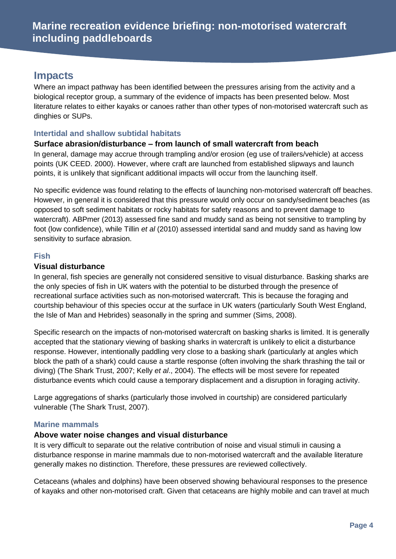### **Impacts**

Where an impact pathway has been identified between the pressures arising from the activity and a biological receptor group, a summary of the evidence of impacts has been presented below. Most literature relates to either kayaks or canoes rather than other types of non-motorised watercraft such as dinghies or SUPs.

#### **Intertidal and shallow subtidal habitats**

#### **Surface abrasion/disturbance – from launch of small watercraft from beach**

In general, damage may accrue through trampling and/or erosion (eg use of trailers/vehicle) at access points (UK CEED. 2000). However, where craft are launched from established slipways and launch points, it is unlikely that significant additional impacts will occur from the launching itself.

No specific evidence was found relating to the effects of launching non-motorised watercraft off beaches. However, in general it is considered that this pressure would only occur on sandy/sediment beaches (as opposed to soft sediment habitats or rocky habitats for safety reasons and to prevent damage to watercraft). ABPmer (2013) assessed fine sand and muddy sand as being not sensitive to trampling by foot (low confidence), while Tillin *et al* (2010) assessed intertidal sand and muddy sand as having low sensitivity to surface abrasion.

#### **Fish**

#### **Visual disturbance**

In general, fish species are generally not considered sensitive to visual disturbance. Basking sharks are the only species of fish in UK waters with the potential to be disturbed through the presence of recreational surface activities such as non-motorised watercraft. This is because the foraging and courtship behaviour of this species occur at the surface in UK waters (particularly South West England, the Isle of Man and Hebrides) seasonally in the spring and summer (Sims, 2008).

Specific research on the impacts of non-motorised watercraft on basking sharks is limited. It is generally accepted that the stationary viewing of basking sharks in watercraft is unlikely to elicit a disturbance response. However, intentionally paddling very close to a basking shark (particularly at angles which block the path of a shark) could cause a startle response (often involving the shark thrashing the tail or diving) (The Shark Trust, 2007; Kelly *et al*., 2004). The effects will be most severe for repeated disturbance events which could cause a temporary displacement and a disruption in foraging activity.

Large aggregations of sharks (particularly those involved in courtship) are considered particularly vulnerable (The Shark Trust, 2007).

#### **Marine mammals**

#### **Above water noise changes and visual disturbance**

It is very difficult to separate out the relative contribution of noise and visual stimuli in causing a disturbance response in marine mammals due to non-motorised watercraft and the available literature generally makes no distinction. Therefore, these pressures are reviewed collectively.

Cetaceans (whales and dolphins) have been observed showing behavioural responses to the presence of kayaks and other non-motorised craft. Given that cetaceans are highly mobile and can travel at much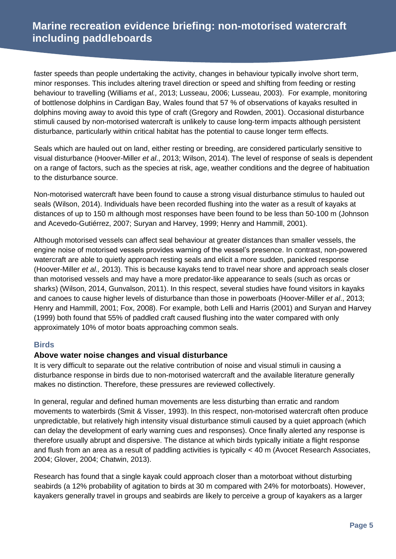faster speeds than people undertaking the activity, changes in behaviour typically involve short term, minor responses. This includes altering travel direction or speed and shifting from feeding or resting behaviour to travelling (Williams *et al.,* 2013; Lusseau, 2006; Lusseau, 2003). For example, monitoring of bottlenose dolphins in Cardigan Bay, Wales found that 57 % of observations of kayaks resulted in dolphins moving away to avoid this type of craft (Gregory and Rowden, 2001). Occasional disturbance stimuli caused by non-motorised watercraft is unlikely to cause long-term impacts although persistent disturbance, particularly within critical habitat has the potential to cause longer term effects.

Seals which are hauled out on land, either resting or breeding, are considered particularly sensitive to visual disturbance (Hoover-Miller *et al*., 2013; Wilson, 2014). The level of response of seals is dependent on a range of factors, such as the species at risk, age, weather conditions and the degree of habituation to the disturbance source.

Non-motorised watercraft have been found to cause a strong visual disturbance stimulus to hauled out seals (Wilson, 2014). Individuals have been recorded flushing into the water as a result of kayaks at distances of up to 150 m although most responses have been found to be less than 50-100 m (Johnson and Acevedo-Gutiérrez, 2007; Suryan and Harvey, 1999; Henry and Hammill, 2001).

Although motorised vessels can affect seal behaviour at greater distances than smaller vessels, the engine noise of motorised vessels provides warning of the vessel's presence. In contrast, non-powered watercraft are able to quietly approach resting seals and elicit a more sudden, panicked response (Hoover-Miller *et al.,* 2013). This is because kayaks tend to travel near shore and approach seals closer than motorised vessels and may have a more predator-like appearance to seals (such as orcas or sharks) (Wilson, 2014, Gunvalson, 2011). In this respect, several studies have found visitors in kayaks and canoes to cause higher levels of disturbance than those in powerboats (Hoover-Miller *et al*., 2013; Henry and Hammill, 2001; Fox, 2008). For example, both Lelli and Harris (2001) and Suryan and Harvey (1999) both found that 55% of paddled craft caused flushing into the water compared with only approximately 10% of motor boats approaching common seals.

#### **Birds**

#### **Above water noise changes and visual disturbance**

It is very difficult to separate out the relative contribution of noise and visual stimuli in causing a disturbance response in birds due to non-motorised watercraft and the available literature generally makes no distinction. Therefore, these pressures are reviewed collectively.

In general, regular and defined human movements are less disturbing than erratic and random movements to waterbirds (Smit & Visser, 1993). In this respect, non-motorised watercraft often produce unpredictable, but relatively high intensity visual disturbance stimuli caused by a quiet approach (which can delay the development of early warning cues and responses). Once finally alerted any response is therefore usually abrupt and dispersive. The distance at which birds typically initiate a flight response and flush from an area as a result of paddling activities is typically < 40 m (Avocet Research Associates, 2004; Glover, 2004; Chatwin, 2013).

Research has found that a single kayak could approach closer than a motorboat without disturbing seabirds (a 12% probability of agitation to birds at 30 m compared with 24% for motorboats). However, kayakers generally travel in groups and seabirds are likely to perceive a group of kayakers as a larger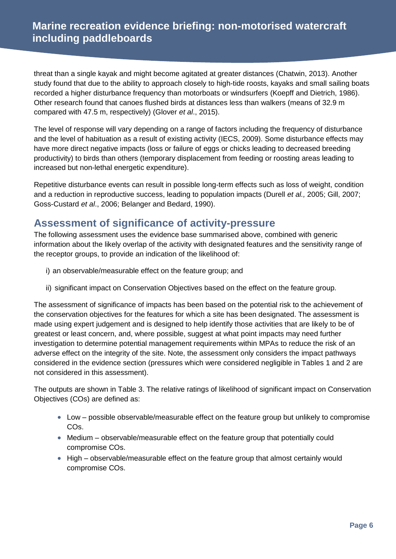threat than a single kayak and might become agitated at greater distances (Chatwin, 2013). Another study found that due to the ability to approach closely to high-tide roosts, kayaks and small sailing boats recorded a higher disturbance frequency than motorboats or windsurfers (Koepff and Dietrich, 1986). Other research found that canoes flushed birds at distances less than walkers (means of 32.9 m compared with 47.5 m, respectively) (Glover *et al*., 2015).

The level of response will vary depending on a range of factors including the frequency of disturbance and the level of habituation as a result of existing activity (IECS, 2009). Some disturbance effects may have more direct negative impacts (loss or failure of eggs or chicks leading to decreased breeding productivity) to birds than others (temporary displacement from feeding or roosting areas leading to increased but non-lethal energetic expenditure).

Repetitive disturbance events can result in possible long-term effects such as loss of weight, condition and a reduction in reproductive success, leading to population impacts (Durell *et al.,* 2005; Gill, 2007; Goss-Custard *et al*., 2006; Belanger and Bedard, 1990).

### **Assessment of significance of activity-pressure**

The following assessment uses the evidence base summarised above, combined with generic information about the likely overlap of the activity with designated features and the sensitivity range of the receptor groups, to provide an indication of the likelihood of:

- i) an observable/measurable effect on the feature group; and
- ii) significant impact on Conservation Objectives based on the effect on the feature group.

The assessment of significance of impacts has been based on the potential risk to the achievement of the conservation objectives for the features for which a site has been designated. The assessment is made using expert judgement and is designed to help identify those activities that are likely to be of greatest or least concern, and, where possible, suggest at what point impacts may need further investigation to determine potential management requirements within MPAs to reduce the risk of an adverse effect on the integrity of the site. Note, the assessment only considers the impact pathways considered in the evidence section (pressures which were considered negligible in Tables 1 and 2 are not considered in this assessment).

The outputs are shown in Table 3. The relative ratings of likelihood of significant impact on Conservation Objectives (COs) are defined as:

- Low possible observable/measurable effect on the feature group but unlikely to compromise COs.
- Medium observable/measurable effect on the feature group that potentially could compromise COs.
- High observable/measurable effect on the feature group that almost certainly would compromise COs.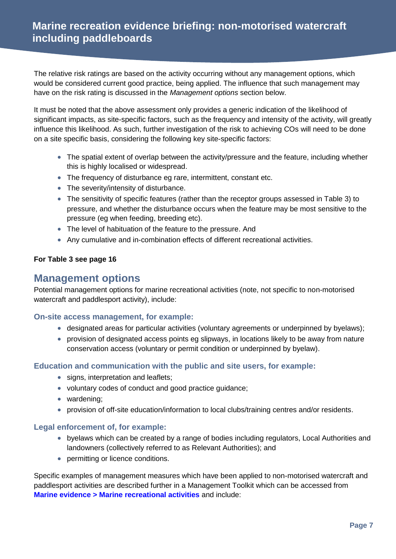The relative risk ratings are based on the activity occurring without any management options, which would be considered current good practice, being applied. The influence that such management may have on the risk rating is discussed in the *Management options* section below.

It must be noted that the above assessment only provides a generic indication of the likelihood of significant impacts, as site-specific factors, such as the frequency and intensity of the activity, will greatly influence this likelihood. As such, further investigation of the risk to achieving COs will need to be done on a site specific basis, considering the following key site-specific factors:

- The spatial extent of overlap between the activity/pressure and the feature, including whether this is highly localised or widespread.
- The frequency of disturbance eg rare, intermittent, constant etc.
- The severity/intensity of disturbance.
- The sensitivity of specific features (rather than the receptor groups assessed in Table 3) to pressure, and whether the disturbance occurs when the feature may be most sensitive to the pressure (eg when feeding, breeding etc).
- The level of habituation of the feature to the pressure. And
- Any cumulative and in-combination effects of different recreational activities.

#### **For Table 3 see page 16**

### **Management options**

Potential management options for marine recreational activities (note, not specific to non-motorised watercraft and paddlesport activity), include:

#### **On-site access management, for example:**

- designated areas for particular activities (voluntary agreements or underpinned by byelaws);
- provision of designated access points eg slipways, in locations likely to be away from nature conservation access (voluntary or permit condition or underpinned by byelaw).

#### **Education and communication with the public and site users, for example:**

- signs, interpretation and leaflets;
- voluntary codes of conduct and good practice guidance;
- wardening:
- provision of off-site education/information to local clubs/training centres and/or residents.

#### **Legal enforcement of, for example:**

- byelaws which can be created by a range of bodies including regulators, Local Authorities and landowners (collectively referred to as Relevant Authorities); and
- permitting or licence conditions.

Specific examples of management measures which have been applied to non-motorised watercraft and paddlesport activities are described further in a Management Toolkit which can be accessed from **[Marine evidence > Marine recreational activities](http://publications.naturalengland.org.uk/category/4891006631149568)** and include: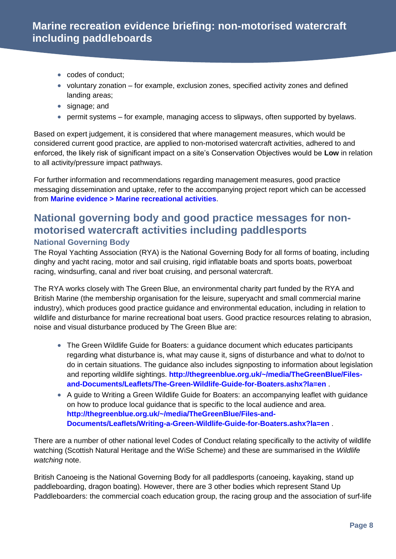- codes of conduct;
- $\bullet$  voluntary zonation for example, exclusion zones, specified activity zones and defined landing areas;
- signage; and
- permit systems for example, managing access to slipways, often supported by byelaws.

Based on expert judgement, it is considered that where management measures, which would be considered current good practice, are applied to non-motorised watercraft activities, adhered to and enforced, the likely risk of significant impact on a site's Conservation Objectives would be **Low** in relation to all activity/pressure impact pathways.

For further information and recommendations regarding management measures, good practice messaging dissemination and uptake, refer to the accompanying project report which can be accessed from **[Marine evidence > Marine recreational activities](http://publications.naturalengland.org.uk/category/4891006631149568)**.

### **National governing body and good practice messages for nonmotorised watercraft activities including paddlesports National Governing Body**

The Royal Yachting Association (RYA) is the National Governing Body for all forms of boating, including dinghy and yacht racing, motor and sail cruising, rigid inflatable boats and sports boats, powerboat racing, windsurfing, canal and river boat cruising, and personal watercraft.

The RYA works closely with The Green Blue, an environmental charity part funded by the RYA and British Marine (the membership organisation for the leisure, superyacht and small commercial marine industry), which produces good practice guidance and environmental education, including in relation to wildlife and disturbance for marine recreational boat users. Good practice resources relating to abrasion, noise and visual disturbance produced by The Green Blue are:

- The Green Wildlife Guide for Boaters: a guidance document which educates participants regarding what disturbance is, what may cause it, signs of disturbance and what to do/not to do in certain situations. The guidance also includes signposting to information about legislation and reporting wildlife sightings. **[http://thegreenblue.org.uk/~/media/TheGreenBlue/Files](http://thegreenblue.org.uk/~/media/TheGreenBlue/Files-and-Documents/Leaflets/The-Green-Wildlife-Guide-for-Boaters.ashx?la=en)[and-Documents/Leaflets/The-Green-Wildlife-Guide-for-Boaters.ashx?la=en](http://thegreenblue.org.uk/~/media/TheGreenBlue/Files-and-Documents/Leaflets/The-Green-Wildlife-Guide-for-Boaters.ashx?la=en)** .
- A guide to Writing a Green Wildlife Guide for Boaters: an accompanying leaflet with guidance on how to produce local guidance that is specific to the local audience and area. **[http://thegreenblue.org.uk/~/media/TheGreenBlue/Files-and-](http://thegreenblue.org.uk/~/media/TheGreenBlue/Files-and-Documents/Leaflets/Writing-a-Green-Wildlife-Guide-for-Boaters.ashx?la=en)[Documents/Leaflets/Writing-a-Green-Wildlife-Guide-for-Boaters.ashx?la=en](http://thegreenblue.org.uk/~/media/TheGreenBlue/Files-and-Documents/Leaflets/Writing-a-Green-Wildlife-Guide-for-Boaters.ashx?la=en)** .

There are a number of other national level Codes of Conduct relating specifically to the activity of wildlife watching (Scottish Natural Heritage and the WiSe Scheme) and these are summarised in the *Wildlife watching* note.

British Canoeing is the National Governing Body for all paddlesports (canoeing, kayaking, stand up paddleboarding, dragon boating). However, there are 3 other bodies which represent Stand Up Paddleboarders: the commercial coach education group, the racing group and the association of surf-life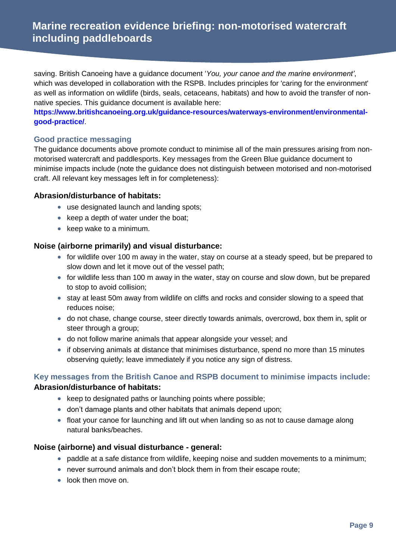saving. British Canoeing have a guidance document '*You, your canoe and the marine environment'*, which was developed in collaboration with the RSPB. Includes principles for 'caring for the environment' as well as information on wildlife (birds, seals, cetaceans, habitats) and how to avoid the transfer of nonnative species. This guidance document is available here:

**[https://www.britishcanoeing.org.uk/guidance-resources/waterways-environment/environmental](https://www.britishcanoeing.org.uk/guidance-resources/waterways-environment/environmental-good-practice/)[good-practice/](https://www.britishcanoeing.org.uk/guidance-resources/waterways-environment/environmental-good-practice/)**.

#### **Good practice messaging**

The guidance documents above promote conduct to minimise all of the main pressures arising from nonmotorised watercraft and paddlesports. Key messages from the Green Blue guidance document to minimise impacts include (note the guidance does not distinguish between motorised and non-motorised craft. All relevant key messages left in for completeness):

#### **Abrasion/disturbance of habitats:**

- use designated launch and landing spots;
- $\bullet$  keep a depth of water under the boat;
- $\bullet$  keep wake to a minimum.

#### **Noise (airborne primarily) and visual disturbance:**

- for wildlife over 100 m away in the water, stay on course at a steady speed, but be prepared to slow down and let it move out of the vessel path;
- for wildlife less than 100 m away in the water, stay on course and slow down, but be prepared to stop to avoid collision;
- stay at least 50m away from wildlife on cliffs and rocks and consider slowing to a speed that reduces noise;
- do not chase, change course, steer directly towards animals, overcrowd, box them in, split or steer through a group;
- do not follow marine animals that appear alongside your vessel; and
- if observing animals at distance that minimises disturbance, spend no more than 15 minutes observing quietly; leave immediately if you notice any sign of distress.

#### **Key messages from the British Canoe and RSPB document to minimise impacts include: Abrasion/disturbance of habitats:**

- $\bullet$  keep to designated paths or launching points where possible;
- don't damage plants and other habitats that animals depend upon;
- float your canoe for launching and lift out when landing so as not to cause damage along natural banks/beaches.

#### **Noise (airborne) and visual disturbance - general:**

- paddle at a safe distance from wildlife, keeping noise and sudden movements to a minimum;
- never surround animals and don't block them in from their escape route;
- look then move on.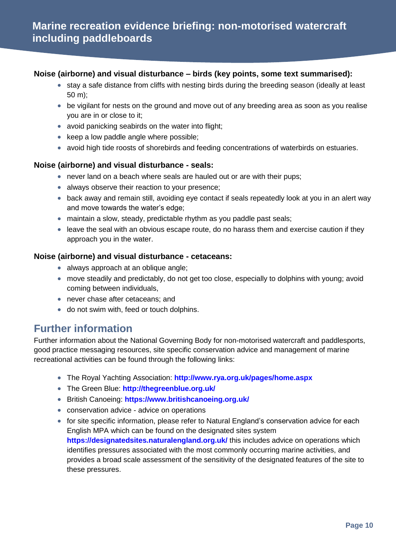#### **Noise (airborne) and visual disturbance – birds (key points, some text summarised):**

- stay a safe distance from cliffs with nesting birds during the breeding season (ideally at least 50 m);
- be vigilant for nests on the ground and move out of any breeding area as soon as you realise you are in or close to it;
- avoid panicking seabirds on the water into flight;
- $\bullet$  keep a low paddle angle where possible;
- avoid high tide roosts of shorebirds and feeding concentrations of waterbirds on estuaries.

#### **Noise (airborne) and visual disturbance - seals:**

- never land on a beach where seals are hauled out or are with their pups;
- always observe their reaction to your presence:
- back away and remain still, avoiding eye contact if seals repeatedly look at you in an alert way and move towards the water's edge;
- maintain a slow, steady, predictable rhythm as you paddle past seals;
- leave the seal with an obvious escape route, do no harass them and exercise caution if they approach you in the water.

#### **Noise (airborne) and visual disturbance - cetaceans:**

- always approach at an oblique angle;
- move steadily and predictably, do not get too close, especially to dolphins with young; avoid coming between individuals,
- never chase after cetaceans; and
- do not swim with, feed or touch dolphins.

### **Further information**

Further information about the National Governing Body for non-motorised watercraft and paddlesports, good practice messaging resources, site specific conservation advice and management of marine recreational activities can be found through the following links:

- The Royal Yachting Association: **[http://www.rya.org.uk/pages/home.aspx](http://www.rya.org.uk/Pages/Home.aspx)**
- The Green Blue: **<http://thegreenblue.org.uk/>**
- British Canoeing: **<https://www.britishcanoeing.org.uk/>**
- conservation advice advice on operations
- for site specific information, please refer to Natural England's conservation advice for each English MPA which can be found on the designated sites system **<https://designatedsites.naturalengland.org.uk/>** this includes advice on operations which identifies pressures associated with the most commonly occurring marine activities, and provides a broad scale assessment of the sensitivity of the designated features of the site to these pressures.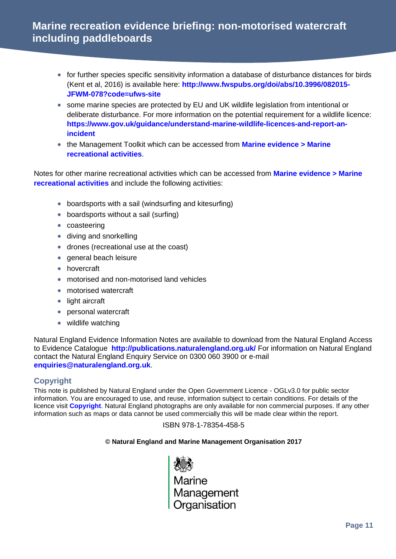- for further species specific sensitivity information a database of disturbance distances for birds (Kent et al, 2016) is available here: **[http://www.fwspubs.org/doi/abs/10.3996/082015-](http://www.fwspubs.org/doi/abs/10.3996/082015-JFWM-078?code=ufws-site) [JFWM-078?code=ufws-site](http://www.fwspubs.org/doi/abs/10.3996/082015-JFWM-078?code=ufws-site)**
- some marine species are protected by EU and UK wildlife legislation from intentional or deliberate disturbance. For more information on the potential requirement for a wildlife licence: **[https://www.gov.uk/guidance/understand-marine-wildlife-licences-and-report-an](https://www.gov.uk/guidance/understand-marine-wildlife-licences-and-report-an-incident)[incident](https://www.gov.uk/guidance/understand-marine-wildlife-licences-and-report-an-incident)**
- the Management Toolkit which can be accessed from **[Marine evidence > Marine](http://publications.naturalengland.org.uk/category/4891006631149568)  [recreational activities](http://publications.naturalengland.org.uk/category/4891006631149568)**.

Notes for other marine recreational activities which can be accessed from **[Marine evidence > Marine](http://publications.naturalengland.org.uk/category/4891006631149568)  [recreational activities](http://publications.naturalengland.org.uk/category/4891006631149568)** and include the following activities:

- boardsports with a sail (windsurfing and kitesurfing)
- boardsports without a sail (surfing)
- coasteering
- diving and snorkelling
- drones (recreational use at the coast)
- general beach leisure
- hovercraft
- motorised and non-motorised land vehicles
- motorised watercraft
- light aircraft
- personal watercraft
- wildlife watching

Natural England Evidence Information Notes are available to download from the Natural England Access to Evidence Catalogue **<http://publications.naturalengland.org.uk/>** For information on Natural England contact the Natural England Enquiry Service on 0300 060 3900 or e-mail **[enquiries@naturalengland.org.uk](mailto:enquiries@naturalengland.org.uk)**.

#### **Copyright**

This note is published by Natural England under the Open Government Licence - OGLv3.0 for public sector information. You are encouraged to use, and reuse, information subject to certain conditions. For details of the licence visit **[Copyright](http://publications.naturalengland.org.uk/copyright)**. Natural England photographs are only available for non commercial purposes. If any other information such as maps or data cannot be used commercially this will be made clear within the report.

#### ISBN 978-1-78354-458-5

#### **© Natural England and Marine Management Organisation 2017**

cess<br>Marine<br>Management<br>Organisation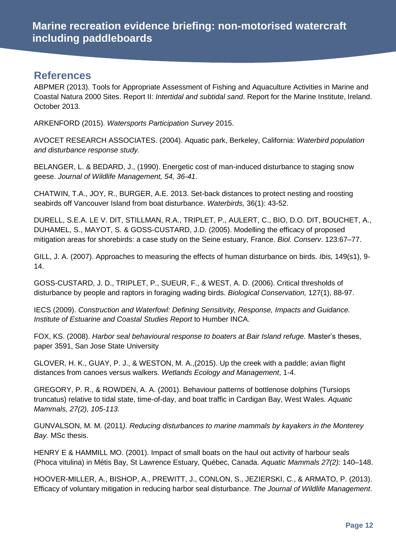### **References**

ABPMER (2013). Tools for Appropriate Assessment of Fishing and Aquaculture Activities in Marine and Coastal Natura 2000 Sites. Report II: *Intertidal and subtidal sand*. Report for the Marine Institute, Ireland. October 2013.

ARKENFORD (2015). *Watersports Participation Survey* 2015.

AVOCET RESEARCH ASSOCIATES. (2004). Aquatic park, Berkeley, California: *Waterbird population and disturbance response study.*

BELANGER, L. & BEDARD, J., (1990). Energetic cost of man-induced disturbance to staging snow geese. *Journal of Wildlife Management, 54, 36-41*.

CHATWIN, T.A., JOY, R., BURGER, A.E. 2013. Set-back distances to protect nesting and roosting seabirds off Vancouver Island from boat disturbance. *Waterbirds,* 36(1): 43-52.

DURELL, S.E.A. LE V. DIT, STILLMAN, R.A., TRIPLET, P., AULERT, C., BIO, D.O. DIT, BOUCHET, A., DUHAMEL, S., MAYOT, S. & GOSS-CUSTARD, J.D. (2005). Modelling the efficacy of proposed mitigation areas for shorebirds: a case study on the Seine estuary*,* France. *Biol. Conserv*. 123:67–77.

GILL, J. A. (2007). Approaches to measuring the effects of human disturbance on birds. *Ibis,* 149(s1), 9- 14.

GOSS-CUSTARD, J. D., TRIPLET, P., SUEUR, F., & WEST, A. D. (2006). Critical thresholds of disturbance by people and raptors in foraging wading birds. *Biological Conservation,* 127(1), 88-97.

IECS (2009). *Construction and Waterfowl: Defining Sensitivity, Response, Impacts and Guidance. Institute of Estuarine and Coastal Studies Report* to Humber INCA.

FOX, KS. (2008). *Harbor seal behavioural response to boaters at Bair Island refuge.* Master's theses, paper 3591, San Jose State University

GLOVER, H. K., GUAY, P. J., & WESTON, M. A.,(2015). Up the creek with a paddle; avian flight distances from canoes versus walkers. *Wetlands Ecology and Management*, 1-4.

GREGORY, P. R., & ROWDEN, A. A. (2001). Behaviour patterns of bottlenose dolphins (Tursiops truncatus) relative to tidal state, time-of-day, and boat traffic in Cardigan Bay, West Wales. *Aquatic Mammals, 27(2), 105-113.*

GUNVALSON, M. M. (2011*). Reducing disturbances to marine mammals by kayakers in the Monterey Bay.* MSc thesis.

HENRY E & HAMMILL MO. (2001). Impact of small boats on the haul out activity of harbour seals (Phoca vitulina) in Métis Bay, St Lawrence Estuary, Québec, Canada. *Aquatic Mammals 27(2):* 140–148.

HOOVER-MILLER, A., BISHOP, A., PREWITT, J., CONLON, S., JEZIERSKI, C., & ARMATO, P. (2013). Efficacy of voluntary mitigation in reducing harbor seal disturbance. *The Journal of Wildlife Management*.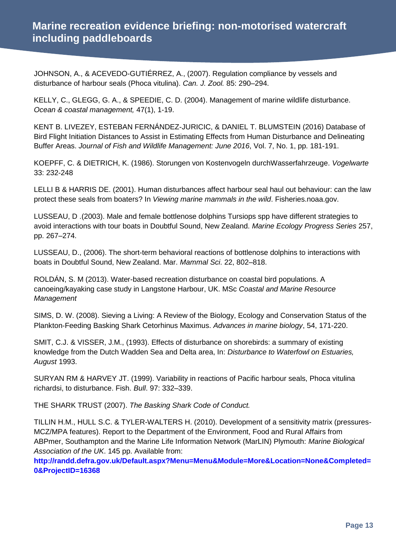JOHNSON, A., & ACEVEDO-GUTIÉRREZ, A., (2007). Regulation compliance by vessels and disturbance of harbour seals (Phoca vitulina). *Can. J. Zool.* 85: 290–294.

KELLY, C., GLEGG, G. A., & SPEEDIE, C. D. (2004). Management of marine wildlife disturbance. *Ocean & coastal management,* 47(1), 1-19.

KENT B. LIVEZEY, ESTEBAN FERNÁNDEZ-JURICIC, & DANIEL T. BLUMSTEIN (2016) Database of Bird Flight Initiation Distances to Assist in Estimating Effects from Human Disturbance and Delineating Buffer Areas. *Journal of Fish and Wildlife Management: June 2016*, Vol. 7, No. 1, pp. 181-191.

KOEPFF, C. & DIETRICH, K. (1986). Storungen von Kostenvogeln durchWasserfahrzeuge. *Vogelwarte*  33: 232-248

LELLI B & HARRIS DE. (2001). Human disturbances affect harbour seal haul out behaviour: can the law protect these seals from boaters? In *Viewing marine mammals in the wild*. Fisheries.noaa.gov.

LUSSEAU, D .(2003). Male and female bottlenose dolphins Tursiops spp have different strategies to avoid interactions with tour boats in Doubtful Sound, New Zealand. *Marine Ecology Progress Series* 257, pp. 267–274.

LUSSEAU, D., (2006). The short-term behavioral reactions of bottlenose dolphins to interactions with boats in Doubtful Sound, New Zealand. Mar. *Mammal Sci*. 22, 802–818.

ROLDÁN, S. M (2013). Water-based recreation disturbance on coastal bird populations. A canoeing/kayaking case study in Langstone Harbour, UK. MSc *Coastal and Marine Resource Management*

SIMS, D. W. (2008). Sieving a Living: A Review of the Biology, Ecology and Conservation Status of the Plankton‐Feeding Basking Shark Cetorhinus Maximus. *Advances in marine biology*, 54, 171-220.

SMIT, C.J. & VISSER, J.M., (1993). Effects of disturbance on shorebirds: a summary of existing knowledge from the Dutch Wadden Sea and Delta area, In: *Disturbance to Waterfowl on Estuaries, August* 1993.

SURYAN RM & HARVEY JT. (1999). Variability in reactions of Pacific harbour seals, Phoca vitulina richardsi, to disturbance. Fish. *Bull*. 97: 332–339.

THE SHARK TRUST (2007). *The Basking Shark Code of Conduct.*

TILLIN H.M., HULL S.C. & TYLER-WALTERS H. (2010). Development of a sensitivity matrix (pressures-MCZ/MPA features). Report to the Department of the Environment, Food and Rural Affairs from ABPmer, Southampton and the Marine Life Information Network (MarLIN) Plymouth: *Marine Biological Association of the UK*. 145 pp. Available from:

**[http://randd.defra.gov.uk/Default.aspx?Menu=Menu&Module=More&Location=None&Completed=](http://randd.defra.gov.uk/Default.aspx?Menu=Menu&Module=More&Location=None&Completed=0&ProjectID=16368) [0&ProjectID=16368](http://randd.defra.gov.uk/Default.aspx?Menu=Menu&Module=More&Location=None&Completed=0&ProjectID=16368)**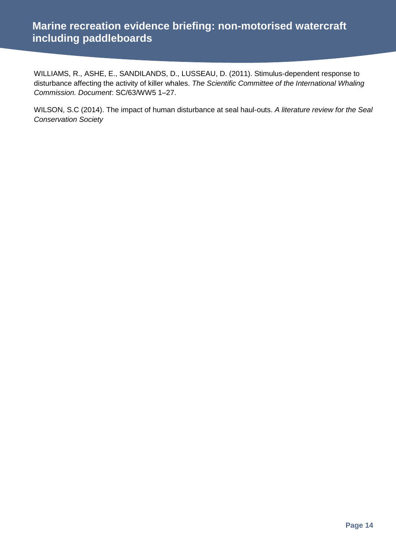WILLIAMS, R., ASHE, E., SANDILANDS, D., LUSSEAU, D. (2011). Stimulus-dependent response to disturbance affecting the activity of killer whales. *The Scientific Committee of the International Whaling Commission. Document*: SC/63/WW5 1–27.

WILSON, S.C (2014). The impact of human disturbance at seal haul-outs. *A literature review for the Seal Conservation Society*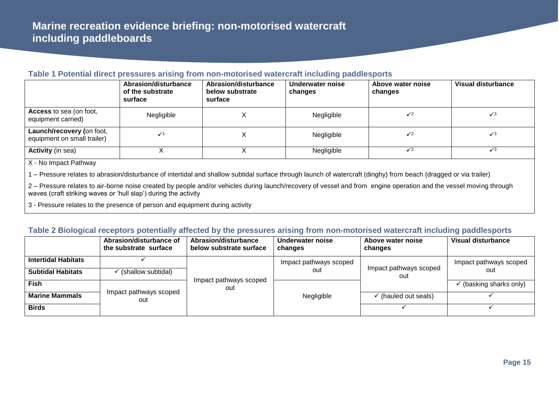#### **Table 1 Potential direct pressures arising from non-motorised watercraft including paddlesports**

|                                                          | Abrasion/disturbance<br>of the substrate<br>surface | <b>Abrasion/disturbance</b><br>below substrate<br>surface | Underwater noise<br>changes | Above water noise<br>changes | Visual disturbance |
|----------------------------------------------------------|-----------------------------------------------------|-----------------------------------------------------------|-----------------------------|------------------------------|--------------------|
| <b>Access</b> to sea (on foot,<br>equipment carried)     | Negligible                                          | ⌒                                                         | Negligible                  | $\checkmark$                 | $\sqrt{3}$         |
| Launch/recovery (on foot,<br>equipment on small trailer) |                                                     |                                                           | Negligible                  | $\sqrt{2}$                   | $\sqrt{3}$         |
| <b>Activity</b> (in sea)                                 |                                                     |                                                           | Negligible                  | $\sqrt{2}$                   | $\sqrt{3}$         |

X - No Impact Pathway

1 – Pressure relates to abrasion/disturbance of intertidal and shallow subtidal surface through launch of watercraft (dinghy) from beach (dragged or via trailer)

2 – Pressure relates to air-borne noise created by people and/or vehicles during launch/recovery of vessel and from engine operation and the vessel moving through waves (craft striking waves or 'hull slap') during the activity

3 - Pressure relates to the presence of person and equipment during activity

#### **Table 2 Biological receptors potentially affected by the pressures arising from non-motorised watercraft including paddlesports**

|                            | Abrasion/disturbance of<br>the substrate surface | Abrasion/disturbance<br>below substrate surface | Underwater noise<br>changes   | Above water noise<br>changes  | Visual disturbance     |
|----------------------------|--------------------------------------------------|-------------------------------------------------|-------------------------------|-------------------------------|------------------------|
| <b>Intertidal Habitats</b> |                                                  |                                                 | Impact pathways scoped<br>out | Impact pathways scoped<br>out | Impact pathways scoped |
| <b>Subtidal Habitats</b>   | (shallow subtidal)                               |                                                 |                               |                               | out                    |
| <b>Fish</b>                |                                                  | Impact pathways scoped<br>out                   |                               |                               | (basking sharks only)  |
| <b>Marine Mammals</b>      | Impact pathways scoped<br>out                    |                                                 | Negligible                    | (hauled out seals)            |                        |
| <b>Birds</b>               |                                                  |                                                 |                               |                               |                        |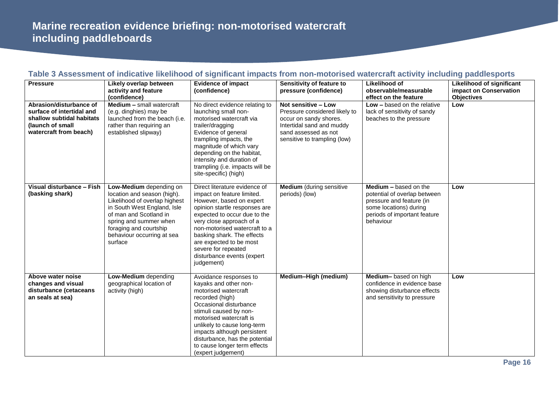| <b>Pressure</b>                                                                                                                 | Likely overlap between<br>activity and feature                                                                                                                                                                                                | <b>Evidence of impact</b><br>(confidence)                                                                                                                                                                                                                                                                                                         | Sensitivity of feature to<br>pressure (confidence)                                                                                                                  | Likelihood of<br>observable/measurable                                                                                                                          | Likelihood of significant<br>impact on Conservation |
|---------------------------------------------------------------------------------------------------------------------------------|-----------------------------------------------------------------------------------------------------------------------------------------------------------------------------------------------------------------------------------------------|---------------------------------------------------------------------------------------------------------------------------------------------------------------------------------------------------------------------------------------------------------------------------------------------------------------------------------------------------|---------------------------------------------------------------------------------------------------------------------------------------------------------------------|-----------------------------------------------------------------------------------------------------------------------------------------------------------------|-----------------------------------------------------|
|                                                                                                                                 | (confidence)                                                                                                                                                                                                                                  |                                                                                                                                                                                                                                                                                                                                                   |                                                                                                                                                                     | effect on the feature                                                                                                                                           | <b>Objectives</b>                                   |
| Abrasion/disturbance of<br>surface of intertidal and<br>shallow subtidal habitats<br>(launch of small<br>watercraft from beach) | Medium - small watercraft<br>(e.g. dinghies) may be<br>launched from the beach (i.e.<br>rather than requiring an<br>established slipway)                                                                                                      | No direct evidence relating to<br>launching small non-<br>motorised watercraft via<br>trailer/dragging<br>Evidence of general<br>trampling impacts, the<br>magnitude of which vary<br>depending on the habitat,<br>intensity and duration of<br>trampling (i.e. impacts will be<br>site-specific) (high)                                          | Not sensitive - Low<br>Pressure considered likely to<br>occur on sandy shores.<br>Intertidal sand and muddy<br>sand assessed as not<br>sensitive to trampling (low) | $Low - based on the relative$<br>lack of sensitivity of sandy<br>beaches to the pressure                                                                        | Low                                                 |
| Visual disturbance - Fish<br>(basking shark)                                                                                    | Low-Medium depending on<br>location and season (high).<br>Likelihood of overlap highest<br>in South West England, Isle<br>of man and Scotland in<br>spring and summer when<br>foraging and courtship<br>behaviour occurring at sea<br>surface | Direct literature evidence of<br>impact on feature limited.<br>However, based on expert<br>opinion startle responses are<br>expected to occur due to the<br>very close approach of a<br>non-motorised watercraft to a<br>basking shark. The effects<br>are expected to be most<br>severe for repeated<br>disturbance events (expert<br>judgement) | <b>Medium</b> (during sensitive<br>periods) (low)                                                                                                                   | <b>Medium - based on the</b><br>potential of overlap between<br>pressure and feature (in<br>some locations) during<br>periods of important feature<br>behaviour | Low                                                 |
| Above water noise<br>changes and visual<br>disturbance (cetaceans<br>an seals at sea)                                           | Low-Medium depending<br>geographical location of<br>activity (high)                                                                                                                                                                           | Avoidance responses to<br>kayaks and other non-<br>motorised watercraft<br>recorded (high)<br>Occasional disturbance<br>stimuli caused by non-<br>motorised watercraft is<br>unlikely to cause long-term<br>impacts although persistent<br>disturbance, has the potential<br>to cause longer term effects<br>(expert judgement)                   | Medium-High (medium)                                                                                                                                                | Medium-based on high<br>confidence in evidence base<br>showing disturbance effects<br>and sensitivity to pressure                                               | Low                                                 |

### **Table 3 Assessment of indicative likelihood of significant impacts from non-motorised watercraft activity including paddlesports**